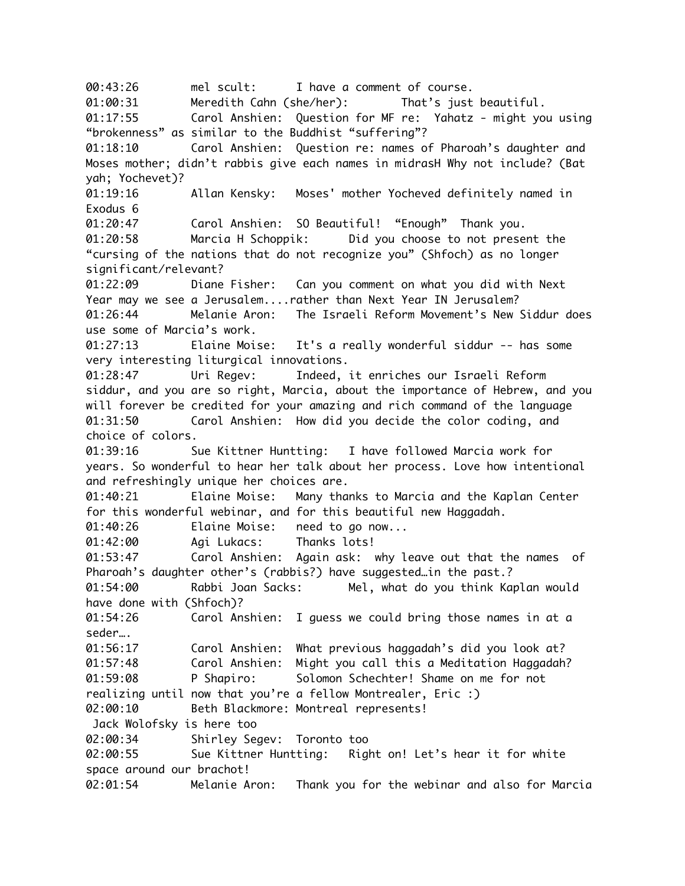00:43:26 mel scult: I have a comment of course. 01:00:31 Meredith Cahn (she/her): That's just beautiful. 01:17:55 Carol Anshien: Question for MF re: Yahatz - might you using "brokenness" as similar to the Buddhist "suffering"? 01:18:10 Carol Anshien: Question re: names of Pharoah's daughter and Moses mother; didn't rabbis give each names in midrasH Why not include? (Bat yah; Yochevet)? 01:19:16 Allan Kensky: Moses' mother Yocheved definitely named in Exodus 6 01:20:47 Carol Anshien: SO Beautiful! "Enough" Thank you. 01:20:58 Marcia H Schoppik: Did you choose to not present the "cursing of the nations that do not recognize you" (Shfoch) as no longer significant/relevant? 01:22:09 Diane Fisher: Can you comment on what you did with Next Year may we see a Jerusalem....rather than Next Year IN Jerusalem? 01:26:44 Melanie Aron: The Israeli Reform Movement's New Siddur does use some of Marcia's work. 01:27:13 Elaine Moise: It's a really wonderful siddur -- has some very interesting liturgical innovations. 01:28:47 Uri Regev: Indeed, it enriches our Israeli Reform siddur, and you are so right, Marcia, about the importance of Hebrew, and you will forever be credited for your amazing and rich command of the language 01:31:50 Carol Anshien: How did you decide the color coding, and choice of colors. 01:39:16 Sue Kittner Huntting: I have followed Marcia work for years. So wonderful to hear her talk about her process. Love how intentional and refreshingly unique her choices are. 01:40:21 Elaine Moise: Many thanks to Marcia and the Kaplan Center for this wonderful webinar, and for this beautiful new Haggadah. 01:40:26 Elaine Moise: need to go now... 01:42:00 Agi Lukacs: Thanks lots! 01:53:47 Carol Anshien: Again ask: why leave out that the names of Pharoah's daughter other's (rabbis?) have suggested…in the past.? 01:54:00 Rabbi Joan Sacks: Mel, what do you think Kaplan would have done with (Shfoch)? 01:54:26 Carol Anshien: I guess we could bring those names in at a seder…. 01:56:17 Carol Anshien: What previous haggadah's did you look at? 01:57:48 Carol Anshien: Might you call this a Meditation Haggadah? 01:59:08 P Shapiro: Solomon Schechter! Shame on me for not realizing until now that you're a fellow Montrealer, Eric :) 02:00:10 Beth Blackmore: Montreal represents! Jack Wolofsky is here too 02:00:34 Shirley Segev: Toronto too 02:00:55 Sue Kittner Huntting: Right on! Let's hear it for white space around our brachot! 02:01:54 Melanie Aron: Thank you for the webinar and also for Marcia